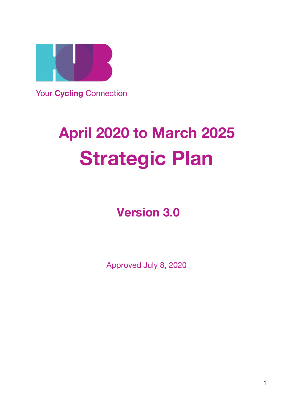

**Your Cycling Connection** 

# **April 2020 to March 2025 Strategic Plan**

**Version 3.0**

Approved July 8, 2020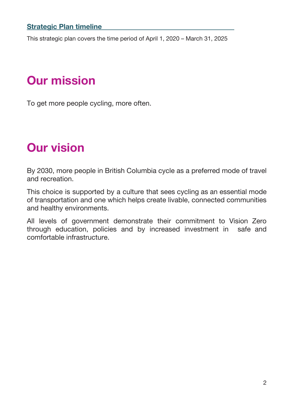#### **Strategic Plan timeline\_\_\_\_\_\_\_\_\_\_\_\_\_\_\_\_\_\_\_\_\_\_\_\_\_\_\_\_\_\_\_\_\_\_\_\_\_\_**

This strategic plan covers the time period of April 1, 2020 – March 31, 2025

# **Our mission**

To get more people cycling, more often.

# **Our vision**

By 2030, more people in British Columbia cycle as a preferred mode of travel and recreation.

This choice is supported by a culture that sees cycling as an essential mode of transportation and one which helps create livable, connected communities and healthy environments.

All levels of government demonstrate their commitment to Vision Zero through education, policies and by increased investment in safe and comfortable infrastructure.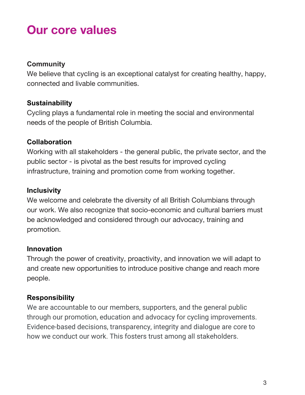# **Our core values**

### **Community**

We believe that cycling is an exceptional catalyst for creating healthy, happy, connected and livable communities.

### **Sustainability**

Cycling plays a fundamental role in meeting the social and environmental needs of the people of British Columbia.

### **Collaboration**

Working with all stakeholders - the general public, the private sector, and the public sector - is pivotal as the best results for improved cycling infrastructure, training and promotion come from working together.

### **Inclusivity**

We welcome and celebrate the diversity of all British Columbians through our work. We also recognize that socio-economic and cultural barriers must be acknowledged and considered through our advocacy, training and promotion.

### **Innovation**

Through the power of creativity, proactivity, and innovation we will adapt to and create new opportunities to introduce positive change and reach more people.

### **Responsibility**

We are accountable to our members, supporters, and the general public through our promotion, education and advocacy for cycling improvements. Evidence-based decisions, transparency, integrity and dialogue are core to how we conduct our work. This fosters trust among all stakeholders.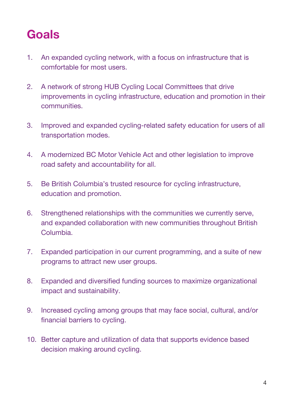# **Goals**

- 1. An expanded cycling network, with a focus on infrastructure that is comfortable for most users.
- 2. A network of strong HUB Cycling Local Committees that drive improvements in cycling infrastructure, education and promotion in their communities.
- 3. Improved and expanded cycling-related safety education for users of all transportation modes.
- 4. A modernized BC Motor Vehicle Act and other legislation to improve road safety and accountability for all.
- 5. Be British Columbia's trusted resource for cycling infrastructure, education and promotion.
- 6. Strengthened relationships with the communities we currently serve, and expanded collaboration with new communities throughout British Columbia.
- 7. Expanded participation in our current programming, and a suite of new programs to attract new user groups.
- 8. Expanded and diversified funding sources to maximize organizational impact and sustainability.
- 9. Increased cycling among groups that may face social, cultural, and/or financial barriers to cycling.
- 10. Better capture and utilization of data that supports evidence based decision making around cycling.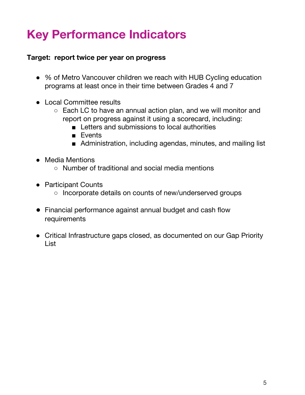# **Key Performance Indicators**

### **Target: report twice per year on progress**

- % of Metro Vancouver children we reach with HUB Cycling education programs at least once in their time between Grades 4 and 7
- Local Committee results
	- Each LC to have an annual action plan, and we will monitor and report on progress against it using a scorecard, including:
		- Letters and submissions to local authorities
		- Events
		- Administration, including agendas, minutes, and mailing list
- Media Mentions
	- Number of traditional and social media mentions
- Participant Counts
	- Incorporate details on counts of new/underserved groups
- Financial performance against annual budget and cash flow requirements
- Critical Infrastructure gaps closed, as documented on our Gap Priority List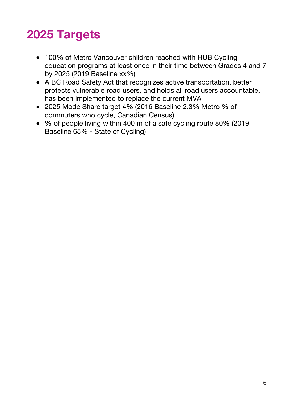# **2025 Targets**

- 100% of Metro Vancouver children reached with HUB Cycling education programs at least once in their time between Grades 4 and 7 by 2025 (2019 Baseline xx%)
- A BC Road Safety Act that recognizes active transportation, better protects vulnerable road users, and holds all road users accountable, has been implemented to replace the current MVA
- 2025 Mode Share target 4% (2016 Baseline 2.3% Metro % of commuters who cycle, Canadian Census)
- % of people living within 400 m of a safe cycling route 80% (2019 Baseline 65% - State of Cycling)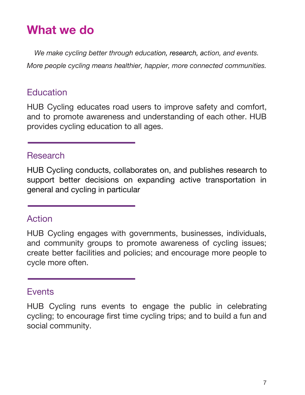# **What we do**

*We make cycling better through education, research, action, and events. More people cycling means healthier, happier, more connected communities.*

# **Education**

HUB Cycling educates road users to improve safety and comfort, and to promote awareness and understanding of each other. HUB provides cycling education to all ages.

### **Research**

HUB Cycling conducts, collaborates on, and publishes research to support better decisions on expanding active transportation in general and cycling in particular

## Action

HUB Cycling engages with governments, businesses, individuals, and community groups to promote awareness of cycling issues; create better facilities and policies; and encourage more people to cycle more often.

### **Events**

HUB Cycling runs events to engage the public in celebrating cycling; to encourage first time cycling trips; and to build a fun and social community.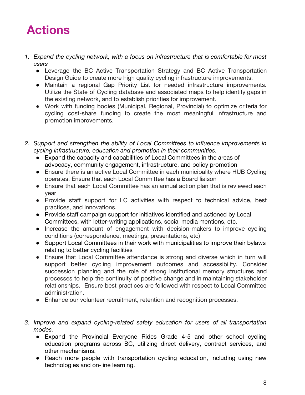

- *1. Expand the cycling network, with a focus on infrastructure that is comfortable for most users*
	- Leverage the BC Active Transportation Strategy and BC Active Transportation Design Guide to create more high quality cycling infrastructure improvements.
	- Maintain a regional Gap Priority List for needed infrastructure improvements. Utilize the State of Cycling database and associated maps to help identify gaps in the existing network, and to establish priorities for improvement.
	- Work with funding bodies (Municipal, Regional, Provincial) to optimize criteria for cycling cost-share funding to create the most meaningful infrastructure and promotion improvements.
- *2. Support and strengthen the ability of Local Committees to influence improvements in cycling infrastructure, education and promotion in their communities.*
	- Expand the capacity and capabilities of Local Committees in the areas of advocacy, community engagement, infrastructure, and policy promotion
	- Ensure there is an active Local Committee in each municipality where HUB Cycling operates. Ensure that each Local Committee has a Board liaison
	- Ensure that each Local Committee has an annual action plan that is reviewed each year
	- Provide staff support for LC activities with respect to technical advice, best practices, and innovations.
	- Provide staff campaign support for initiatives identified and actioned by Local Committees, with letter-writing applications, social media mentions, etc.
	- Increase the amount of engagement with decision-makers to improve cycling conditions (correspondence, meetings, presentations, etc)
	- Support Local Committees in their work with municipalities to improve their bylaws relating to better cycling facilities
	- Ensure that Local Committee attendance is strong and diverse which in turn will support better cycling improvement outcomes and accessibility. Consider succession planning and the role of strong institutional memory structures and processes to help the continuity of positive change and in maintaining stakeholder relationships. Ensure best practices are followed with respect to Local Committee administration.
	- Enhance our volunteer recruitment, retention and recognition processes.
- *3. Improve and expand cycling-related safety education for users of all transportation modes.*
	- *●* Expand the Provincial Everyone Rides Grade 4-5 and other school cycling education programs across BC, utilizing direct delivery, contract services, and other mechanisms.
	- Reach more people with transportation cycling education, including using new technologies and on-line learning.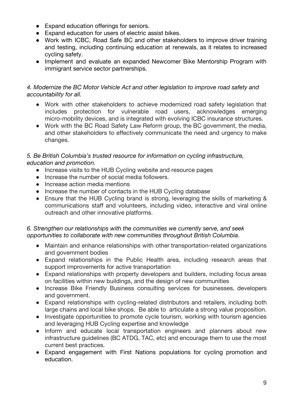- Expand education offerings for seniors.
- Expand education for users of electric assist bikes.
- Work with ICBC, Road Safe BC and other stakeholders to improve driver training and testing, including continuing education at renewals, as it relates to increased cycling safety.
- Implement and evaluate an expanded Newcomer Bike Mentorship Program with immigrant service sector partnerships.

#### *4. Modernize the BC Motor Vehicle Act and other legislation to improve road safety and accountability for all.*

- Work with other stakeholders to achieve modernized road safety legislation that includes protection for vulnerable road users, acknowledges emerging micro-mobility devices, and is integrated with evolving ICBC insurance structures.
- Work with the BC Road Safety Law Reform group, the BC government, the media, and other stakeholders to effectively communicate the need and urgency to make changes.

#### *5. Be British Columbia's trusted resource for information on cycling infrastructure, education and promotion.*

- Increase visits to the HUB Cycling website and resource pages
- Increase the number of social media followers.
- Increase action media mentions
- Increase the number of contacts in the HUB Cycling database
- Ensure that the HUB Cycling brand is strong, leveraging the skills of marketing & communications staff and volunteers, including video, interactive and viral online outreach and other innovative platforms.

#### *6. Strengthen our relationships with the communities we currently serve, and seek opportunities to collaborate with new communities throughout British Columbia*.

- Maintain and enhance relationships with other transportation-related organizations and government bodies
- Expand relationships in the Public Health area, including research areas that support improvements for active transportation
- Expand relationships with property developers and builders, including focus areas on facilities within new buildings, and the design of new communities
- Increase Bike Friendly Business consulting services for businesses, developers and government.
- Expand relationships with cycling-related distributors and retailers, including both large chains and local bike shops. Be able to articulate a strong value proposition.
- Investigate opportunities to promote cycle tourism, working with tourism agencies and leveraging HUB Cycling expertise and knowledge
- Inform and educate local transportation engineers and planners about new infrastructure guidelines (BC ATDG, TAC, etc) and encourage them to use the most current best practices.
- Expand engagement with First Nations populations for cycling promotion and education.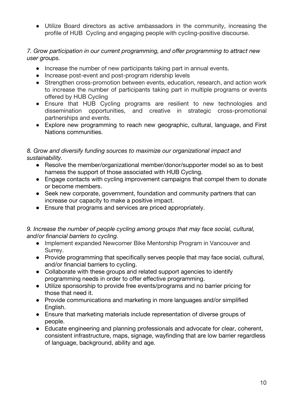● Utilize Board directors as active ambassadors in the community, increasing the profile of HUB Cycling and engaging people with cycling-positive discourse.

#### *7. Grow participation in our current programming, and offer programming to attract new user groups.*

- Increase the number of new participants taking part in annual events.
- Increase post-event and post-program ridership levels
- Strengthen cross-promotion between events, education, research, and action work to increase the number of participants taking part in multiple programs or events offered by HUB Cycling
- Ensure that HUB Cycling programs are resilient to new technologies and dissemination opportunities, and creative in strategic cross-promotional partnerships and events.
- Explore new programming to reach new geographic, cultural, language, and First Nations communities.

#### *8. Grow and diversify funding sources to maximize our organizational impact and sustainability.*

- Resolve the member/organizational member/donor/supporter model so as to best harness the support of those associated with HUB Cycling.
- Engage contacts with cycling improvement campaigns that compel them to donate or become members.
- Seek new corporate, government, foundation and community partners that can increase our capacity to make a positive impact.
- Ensure that programs and services are priced appropriately.

#### *9. Increase the number of people cycling among groups that may face social, cultural, and/or financial barriers to cycling.*

- Implement expanded Newcomer Bike Mentorship Program in Vancouver and Surrey.
- Provide programming that specifically serves people that may face social, cultural, and/or financial barriers to cycling.
- Collaborate with these groups and related support agencies to identify programming needs in order to offer effective programming.
- Utilize sponsorship to provide free events/programs and no barrier pricing for those that need it.
- Provide communications and marketing in more languages and/or simplified English.
- Ensure that marketing materials include representation of diverse groups of people.
- Educate engineering and planning professionals and advocate for clear, coherent, consistent infrastructure, maps, signage, wayfinding that are low barrier regardless of language, background, ability and age.